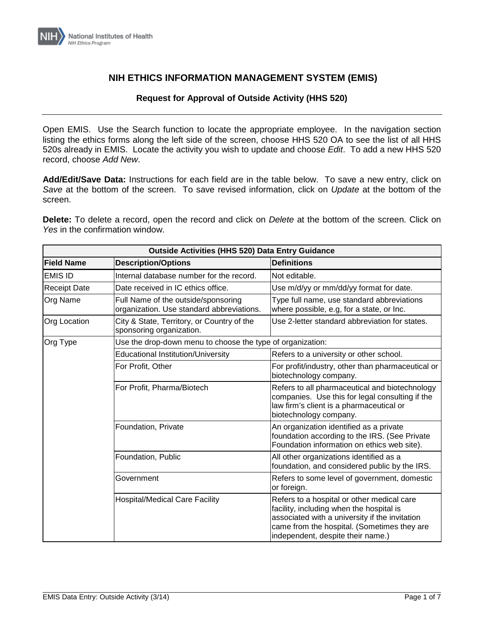

## **NIH ETHICS INFORMATION MANAGEMENT SYSTEM (EMIS)**

## **Request for Approval of Outside Activity (HHS 520)**

Open EMIS. Use the Search function to locate the appropriate employee. In the navigation section listing the ethics forms along the left side of the screen, choose HHS 520 OA to see the list of all HHS 520s already in EMIS. Locate the activity you wish to update and choose *Edit*. To add a new HHS 520 record, choose *Add New*.

**Add/Edit/Save Data:** Instructions for each field are in the table below. To save a new entry, click on *Save* at the bottom of the screen. To save revised information, click on *Update* at the bottom of the screen.

**Delete:** To delete a record, open the record and click on *Delete* at the bottom of the screen. Click on *Yes* in the confirmation window.

| <b>Outside Activities (HHS 520) Data Entry Guidance</b> |                                                                                  |                                                                                                                                                                                                                              |
|---------------------------------------------------------|----------------------------------------------------------------------------------|------------------------------------------------------------------------------------------------------------------------------------------------------------------------------------------------------------------------------|
| <b>Field Name</b>                                       | <b>Description/Options</b>                                                       | <b>Definitions</b>                                                                                                                                                                                                           |
| <b>EMIS ID</b>                                          | Internal database number for the record.                                         | Not editable.                                                                                                                                                                                                                |
| <b>Receipt Date</b>                                     | Date received in IC ethics office.                                               | Use m/d/yy or mm/dd/yy format for date.                                                                                                                                                                                      |
| Org Name                                                | Full Name of the outside/sponsoring<br>organization. Use standard abbreviations. | Type full name, use standard abbreviations<br>where possible, e.g, for a state, or Inc.                                                                                                                                      |
| <b>Org Location</b>                                     | City & State, Territory, or Country of the<br>sponsoring organization.           | Use 2-letter standard abbreviation for states.                                                                                                                                                                               |
| Org Type                                                | Use the drop-down menu to choose the type of organization:                       |                                                                                                                                                                                                                              |
|                                                         | <b>Educational Institution/University</b>                                        | Refers to a university or other school.                                                                                                                                                                                      |
|                                                         | For Profit, Other                                                                | For profit/industry, other than pharmaceutical or<br>biotechnology company.                                                                                                                                                  |
|                                                         | For Profit, Pharma/Biotech                                                       | Refers to all pharmaceutical and biotechnology<br>companies. Use this for legal consulting if the<br>law firm's client is a pharmaceutical or<br>biotechnology company.                                                      |
|                                                         | Foundation, Private                                                              | An organization identified as a private<br>foundation according to the IRS. (See Private<br>Foundation information on ethics web site).                                                                                      |
|                                                         | Foundation, Public                                                               | All other organizations identified as a<br>foundation, and considered public by the IRS.                                                                                                                                     |
|                                                         | Government                                                                       | Refers to some level of government, domestic<br>or foreign.                                                                                                                                                                  |
|                                                         | <b>Hospital/Medical Care Facility</b>                                            | Refers to a hospital or other medical care<br>facility, including when the hospital is<br>associated with a university if the invitation<br>came from the hospital. (Sometimes they are<br>independent, despite their name.) |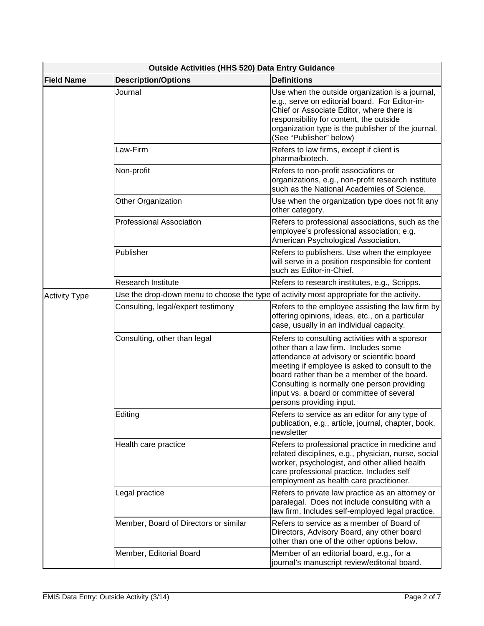| <b>Outside Activities (HHS 520) Data Entry Guidance</b> |                                       |                                                                                                                                                                                                                                                                                                                                                               |
|---------------------------------------------------------|---------------------------------------|---------------------------------------------------------------------------------------------------------------------------------------------------------------------------------------------------------------------------------------------------------------------------------------------------------------------------------------------------------------|
| <b>Field Name</b>                                       | <b>Description/Options</b>            | <b>Definitions</b>                                                                                                                                                                                                                                                                                                                                            |
|                                                         | Journal                               | Use when the outside organization is a journal,<br>e.g., serve on editorial board. For Editor-in-<br>Chief or Associate Editor, where there is<br>responsibility for content, the outside<br>organization type is the publisher of the journal.<br>(See "Publisher" below)                                                                                    |
|                                                         | Law-Firm                              | Refers to law firms, except if client is<br>pharma/biotech.                                                                                                                                                                                                                                                                                                   |
|                                                         | Non-profit                            | Refers to non-profit associations or<br>organizations, e.g., non-profit research institute<br>such as the National Academies of Science.                                                                                                                                                                                                                      |
|                                                         | Other Organization                    | Use when the organization type does not fit any<br>other category.                                                                                                                                                                                                                                                                                            |
|                                                         | <b>Professional Association</b>       | Refers to professional associations, such as the<br>employee's professional association; e.g.<br>American Psychological Association.                                                                                                                                                                                                                          |
|                                                         | Publisher                             | Refers to publishers. Use when the employee<br>will serve in a position responsible for content<br>such as Editor-in-Chief.                                                                                                                                                                                                                                   |
|                                                         | <b>Research Institute</b>             | Refers to research institutes, e.g., Scripps.                                                                                                                                                                                                                                                                                                                 |
| <b>Activity Type</b>                                    |                                       | Use the drop-down menu to choose the type of activity most appropriate for the activity.                                                                                                                                                                                                                                                                      |
|                                                         | Consulting, legal/expert testimony    | Refers to the employee assisting the law firm by<br>offering opinions, ideas, etc., on a particular<br>case, usually in an individual capacity.                                                                                                                                                                                                               |
|                                                         | Consulting, other than legal          | Refers to consulting activities with a sponsor<br>other than a law firm. Includes some<br>attendance at advisory or scientific board<br>meeting if employee is asked to consult to the<br>board rather than be a member of the board.<br>Consulting is normally one person providing<br>input vs. a board or committee of several<br>persons providing input. |
|                                                         | Editing                               | Refers to service as an editor for any type of<br>publication, e.g., article, journal, chapter, book,<br>newsletter                                                                                                                                                                                                                                           |
|                                                         | Health care practice                  | Refers to professional practice in medicine and<br>related disciplines, e.g., physician, nurse, social<br>worker, psychologist, and other allied health<br>care professional practice. Includes self<br>employment as health care practitioner.                                                                                                               |
|                                                         | Legal practice                        | Refers to private law practice as an attorney or<br>paralegal. Does not include consulting with a<br>law firm. Includes self-employed legal practice.                                                                                                                                                                                                         |
|                                                         | Member, Board of Directors or similar | Refers to service as a member of Board of<br>Directors, Advisory Board, any other board<br>other than one of the other options below.                                                                                                                                                                                                                         |
|                                                         | Member, Editorial Board               | Member of an editorial board, e.g., for a<br>journal's manuscript review/editorial board.                                                                                                                                                                                                                                                                     |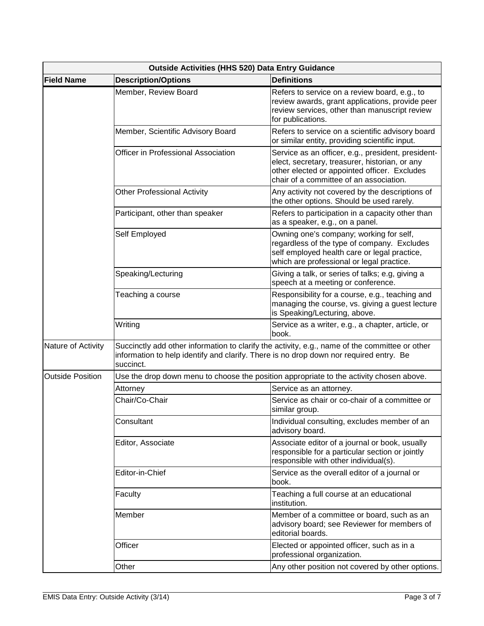| Outside Activities (HHS 520) Data Entry Guidance |                                                                                                     |                                                                                                                                                                                                 |
|--------------------------------------------------|-----------------------------------------------------------------------------------------------------|-------------------------------------------------------------------------------------------------------------------------------------------------------------------------------------------------|
| <b>Field Name</b>                                | <b>Description/Options</b>                                                                          | <b>Definitions</b>                                                                                                                                                                              |
|                                                  | Member, Review Board                                                                                | Refers to service on a review board, e.g., to<br>review awards, grant applications, provide peer<br>review services, other than manuscript review<br>for publications.                          |
|                                                  | Member, Scientific Advisory Board                                                                   | Refers to service on a scientific advisory board<br>or similar entity, providing scientific input.                                                                                              |
|                                                  | Officer in Professional Association                                                                 | Service as an officer, e.g., president, president-<br>elect, secretary, treasurer, historian, or any<br>other elected or appointed officer. Excludes<br>chair of a committee of an association. |
|                                                  | <b>Other Professional Activity</b>                                                                  | Any activity not covered by the descriptions of<br>the other options. Should be used rarely.                                                                                                    |
|                                                  | Participant, other than speaker                                                                     | Refers to participation in a capacity other than<br>as a speaker, e.g., on a panel.                                                                                                             |
|                                                  | Self Employed                                                                                       | Owning one's company; working for self,<br>regardless of the type of company. Excludes<br>self employed health care or legal practice,<br>which are professional or legal practice.             |
|                                                  | Speaking/Lecturing                                                                                  | Giving a talk, or series of talks; e.g, giving a<br>speech at a meeting or conference.                                                                                                          |
|                                                  | Teaching a course                                                                                   | Responsibility for a course, e.g., teaching and<br>managing the course, vs. giving a guest lecture<br>is Speaking/Lecturing, above.                                                             |
|                                                  | Writing                                                                                             | Service as a writer, e.g., a chapter, article, or<br>book.                                                                                                                                      |
| Nature of Activity                               | information to help identify and clarify. There is no drop down nor required entry. Be<br>succinct. | Succinctly add other information to clarify the activity, e.g., name of the committee or other                                                                                                  |
| <b>Outside Position</b>                          |                                                                                                     | Use the drop down menu to choose the position appropriate to the activity chosen above.                                                                                                         |
|                                                  | Attorney                                                                                            | Service as an attorney.                                                                                                                                                                         |
|                                                  | Chair/Co-Chair                                                                                      | Service as chair or co-chair of a committee or<br>similar group.                                                                                                                                |
|                                                  | Consultant                                                                                          | Individual consulting, excludes member of an<br>advisory board.                                                                                                                                 |
|                                                  | Editor, Associate                                                                                   | Associate editor of a journal or book, usually<br>responsible for a particular section or jointly<br>responsible with other individual(s).                                                      |
|                                                  | Editor-in-Chief                                                                                     | Service as the overall editor of a journal or<br>book.                                                                                                                                          |
|                                                  | Faculty                                                                                             | Teaching a full course at an educational<br>institution.                                                                                                                                        |
|                                                  | Member                                                                                              | Member of a committee or board, such as an<br>advisory board; see Reviewer for members of<br>editorial boards.                                                                                  |
|                                                  | Officer                                                                                             | Elected or appointed officer, such as in a<br>professional organization.                                                                                                                        |
|                                                  | Other                                                                                               | Any other position not covered by other options.                                                                                                                                                |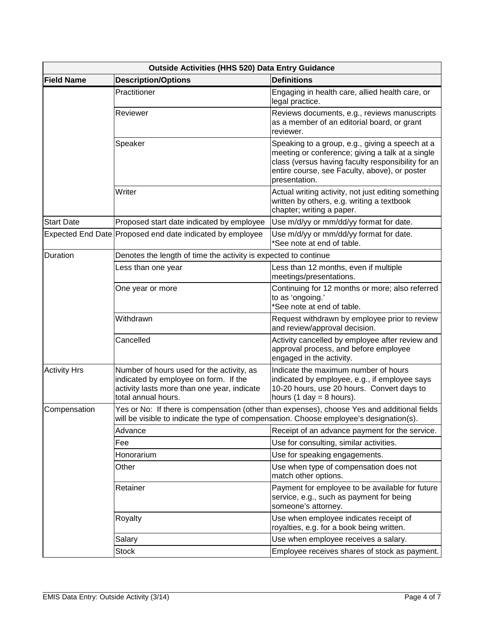| Outside Activities (HHS 520) Data Entry Guidance |                                                                                                                                                                                        |                                                                                                                                                                                                                             |
|--------------------------------------------------|----------------------------------------------------------------------------------------------------------------------------------------------------------------------------------------|-----------------------------------------------------------------------------------------------------------------------------------------------------------------------------------------------------------------------------|
| <b>Field Name</b>                                | <b>Description/Options</b>                                                                                                                                                             | <b>Definitions</b>                                                                                                                                                                                                          |
|                                                  | Practitioner                                                                                                                                                                           | Engaging in health care, allied health care, or<br>legal practice.                                                                                                                                                          |
|                                                  | Reviewer                                                                                                                                                                               | Reviews documents, e.g., reviews manuscripts<br>as a member of an editorial board, or grant<br>reviewer.                                                                                                                    |
|                                                  | Speaker                                                                                                                                                                                | Speaking to a group, e.g., giving a speech at a<br>meeting or conference; giving a talk at a single<br>class (versus having faculty responsibility for an<br>entire course, see Faculty, above), or poster<br>presentation. |
|                                                  | Writer                                                                                                                                                                                 | Actual writing activity, not just editing something<br>written by others, e.g. writing a textbook<br>chapter; writing a paper.                                                                                              |
| <b>Start Date</b>                                | Proposed start date indicated by employee                                                                                                                                              | Use m/d/yy or mm/dd/yy format for date.                                                                                                                                                                                     |
|                                                  | Expected End Date Proposed end date indicated by employee                                                                                                                              | Use m/d/yy or mm/dd/yy format for date.<br>*See note at end of table.                                                                                                                                                       |
| Duration                                         | Denotes the length of time the activity is expected to continue                                                                                                                        |                                                                                                                                                                                                                             |
|                                                  | Less than one year                                                                                                                                                                     | Less than 12 months, even if multiple<br>meetings/presentations.                                                                                                                                                            |
|                                                  | One year or more                                                                                                                                                                       | Continuing for 12 months or more; also referred<br>to as 'ongoing.'<br>*See note at end of table.                                                                                                                           |
|                                                  | Withdrawn                                                                                                                                                                              | Request withdrawn by employee prior to review<br>and review/approval decision.                                                                                                                                              |
|                                                  | Cancelled                                                                                                                                                                              | Activity cancelled by employee after review and<br>approval process, and before employee<br>engaged in the activity.                                                                                                        |
| <b>Activity Hrs</b>                              | Number of hours used for the activity, as<br>indicated by employee on form. If the<br>activity lasts more than one year, indicate<br>total annual hours.                               | Indicate the maximum number of hours<br>indicated by employee, e.g., if employee says<br>10-20 hours, use 20 hours. Convert days to<br>hours (1 day = 8 hours).                                                             |
| Compensation                                     | Yes or No: If there is compensation (other than expenses), choose Yes and additional fields<br>will be visible to indicate the type of compensation. Choose employee's designation(s). |                                                                                                                                                                                                                             |
|                                                  | Advance                                                                                                                                                                                | Receipt of an advance payment for the service.                                                                                                                                                                              |
|                                                  | Fee                                                                                                                                                                                    | Use for consulting, similar activities.                                                                                                                                                                                     |
|                                                  | Honorarium                                                                                                                                                                             | Use for speaking engagements.                                                                                                                                                                                               |
|                                                  | Other                                                                                                                                                                                  | Use when type of compensation does not<br>match other options.                                                                                                                                                              |
|                                                  | Retainer                                                                                                                                                                               | Payment for employee to be available for future<br>service, e.g., such as payment for being<br>someone's attorney.                                                                                                          |
|                                                  | Royalty                                                                                                                                                                                | Use when employee indicates receipt of<br>royalties, e.g. for a book being written.                                                                                                                                         |
|                                                  | Salary                                                                                                                                                                                 | Use when employee receives a salary.                                                                                                                                                                                        |
|                                                  | Stock                                                                                                                                                                                  | Employee receives shares of stock as payment.                                                                                                                                                                               |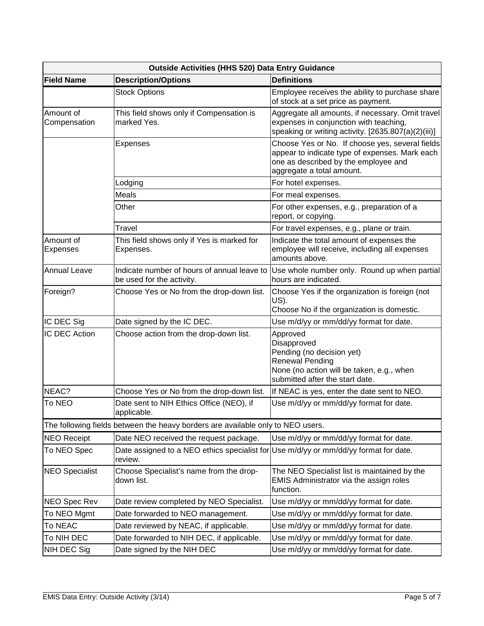| Outside Activities (HHS 520) Data Entry Guidance |                                                                                 |                                                                                                                                                                        |
|--------------------------------------------------|---------------------------------------------------------------------------------|------------------------------------------------------------------------------------------------------------------------------------------------------------------------|
| <b>Field Name</b>                                | <b>Description/Options</b>                                                      | <b>Definitions</b>                                                                                                                                                     |
|                                                  | <b>Stock Options</b>                                                            | Employee receives the ability to purchase share<br>of stock at a set price as payment.                                                                                 |
| Amount of<br>Compensation                        | This field shows only if Compensation is<br>marked Yes.                         | Aggregate all amounts, if necessary. Omit travel<br>expenses in conjunction with teaching,<br>speaking or writing activity. [2635.807(a)(2)(iii)]                      |
|                                                  | Expenses                                                                        | Choose Yes or No. If choose yes, several fields<br>appear to indicate type of expenses. Mark each<br>one as described by the employee and<br>aggregate a total amount. |
|                                                  | Lodging                                                                         | For hotel expenses.                                                                                                                                                    |
|                                                  | Meals                                                                           | For meal expenses.                                                                                                                                                     |
|                                                  | Other                                                                           | For other expenses, e.g., preparation of a<br>report, or copying.                                                                                                      |
|                                                  | Travel                                                                          | For travel expenses, e.g., plane or train.                                                                                                                             |
| Amount of<br><b>Expenses</b>                     | This field shows only if Yes is marked for<br>Expenses.                         | Indicate the total amount of expenses the<br>employee will receive, including all expenses<br>amounts above.                                                           |
| <b>Annual Leave</b>                              | Indicate number of hours of annual leave to<br>be used for the activity.        | Use whole number only. Round up when partial<br>hours are indicated.                                                                                                   |
| Foreign?                                         | Choose Yes or No from the drop-down list.                                       | Choose Yes if the organization is foreign (not<br>US).<br>Choose No if the organization is domestic.                                                                   |
| IC DEC Sig                                       | Date signed by the IC DEC.                                                      | Use m/d/yy or mm/dd/yy format for date.                                                                                                                                |
| <b>IC DEC Action</b>                             | Choose action from the drop-down list.                                          | Approved<br>Disapproved<br>Pending (no decision yet)<br><b>Renewal Pending</b><br>None (no action will be taken, e.g., when<br>submitted after the start date.         |
| NEAC?                                            | Choose Yes or No from the drop-down list.                                       | If NEAC is yes, enter the date sent to NEO.                                                                                                                            |
| <b>To NEO</b>                                    | Date sent to NIH Ethics Office (NEO), if<br>applicable.                         | Use m/d/yy or mm/dd/yy format for date.                                                                                                                                |
|                                                  | The following fields between the heavy borders are available only to NEO users. |                                                                                                                                                                        |
| <b>NEO Receipt</b>                               | Date NEO received the request package.                                          | Use m/d/yy or mm/dd/yy format for date.                                                                                                                                |
| To NEO Spec                                      | Date assigned to a NEO ethics specialist for<br>review.                         | Use m/d/yy or mm/dd/yy format for date.                                                                                                                                |
| <b>NEO Specialist</b>                            | Choose Specialist's name from the drop-<br>down list.                           | The NEO Specialist list is maintained by the<br>EMIS Administrator via the assign roles<br>function.                                                                   |
| <b>NEO Spec Rev</b>                              | Date review completed by NEO Specialist.                                        | Use m/d/yy or mm/dd/yy format for date.                                                                                                                                |
| To NEO Mgmt                                      | Date forwarded to NEO management.                                               | Use m/d/yy or mm/dd/yy format for date.                                                                                                                                |
| <b>To NEAC</b>                                   | Date reviewed by NEAC, if applicable.                                           | Use m/d/yy or mm/dd/yy format for date.                                                                                                                                |
| To NIH DEC                                       | Date forwarded to NIH DEC, if applicable.                                       | Use m/d/yy or mm/dd/yy format for date.                                                                                                                                |
| NIH DEC Sig                                      | Date signed by the NIH DEC                                                      | Use m/d/yy or mm/dd/yy format for date.                                                                                                                                |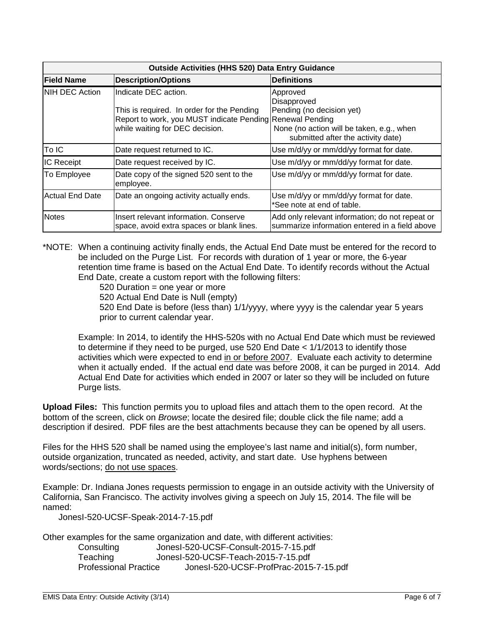| <b>Outside Activities (HHS 520) Data Entry Guidance</b> |                                                                                                                                                                    |                                                                                                                                         |
|---------------------------------------------------------|--------------------------------------------------------------------------------------------------------------------------------------------------------------------|-----------------------------------------------------------------------------------------------------------------------------------------|
| <b>Field Name</b>                                       | <b>Description/Options</b>                                                                                                                                         | <b>Definitions</b>                                                                                                                      |
| <b>INIH DEC Action</b>                                  | Indicate DEC action.<br>This is required. In order for the Pending<br>Report to work, you MUST indicate Pending Renewal Pending<br>while waiting for DEC decision. | Approved<br>Disapproved<br>Pending (no decision yet)<br>None (no action will be taken, e.g., when<br>submitted after the activity date) |
| To IC                                                   | Date request returned to IC.                                                                                                                                       | Use m/d/yy or mm/dd/yy format for date.                                                                                                 |
| <b>IC Receipt</b>                                       | Date request received by IC.                                                                                                                                       | Use m/d/yy or mm/dd/yy format for date.                                                                                                 |
| To Employee                                             | Date copy of the signed 520 sent to the<br>employee.                                                                                                               | Use m/d/yy or mm/dd/yy format for date.                                                                                                 |
| <b>Actual End Date</b>                                  | Date an ongoing activity actually ends.                                                                                                                            | Use m/d/yy or mm/dd/yy format for date.<br>*See note at end of table.                                                                   |
| <b>Notes</b>                                            | Insert relevant information. Conserve<br>space, avoid extra spaces or blank lines.                                                                                 | Add only relevant information; do not repeat or<br>summarize information entered in a field above                                       |

\*NOTE: When a continuing activity finally ends, the Actual End Date must be entered for the record to be included on the Purge List. For records with duration of 1 year or more, the 6-year retention time frame is based on the Actual End Date. To identify records without the Actual End Date, create a custom report with the following filters:

520 Duration = one year or more

520 Actual End Date is Null (empty)

520 End Date is before (less than) 1/1/yyyy, where yyyy is the calendar year 5 years prior to current calendar year.

Example: In 2014, to identify the HHS-520s with no Actual End Date which must be reviewed to determine if they need to be purged, use 520 End Date < 1/1/2013 to identify those activities which were expected to end in or before 2007. Evaluate each activity to determine when it actually ended. If the actual end date was before 2008, it can be purged in 2014. Add Actual End Date for activities which ended in 2007 or later so they will be included on future Purge lists.

**Upload Files:** This function permits you to upload files and attach them to the open record. At the bottom of the screen, click on *Browse*; locate the desired file; double click the file name; add a description if desired. PDF files are the best attachments because they can be opened by all users.

Files for the HHS 520 shall be named using the employee's last name and initial(s), form number, outside organization, truncated as needed, activity, and start date. Use hyphens between words/sections; do not use spaces.

Example: Dr. Indiana Jones requests permission to engage in an outside activity with the University of California, San Francisco. The activity involves giving a speech on July 15, 2014. The file will be named:

JonesI-520-UCSF-Speak-2014-7-15.pdf

Other examples for the same organization and date, with different activities:

| Consulting                   | JonesI-520-UCSF-Consult-2015-7-15.pdf  |
|------------------------------|----------------------------------------|
| Teaching                     | JonesI-520-UCSF-Teach-2015-7-15.pdf    |
| <b>Professional Practice</b> | JonesI-520-UCSF-ProfPrac-2015-7-15.pdf |